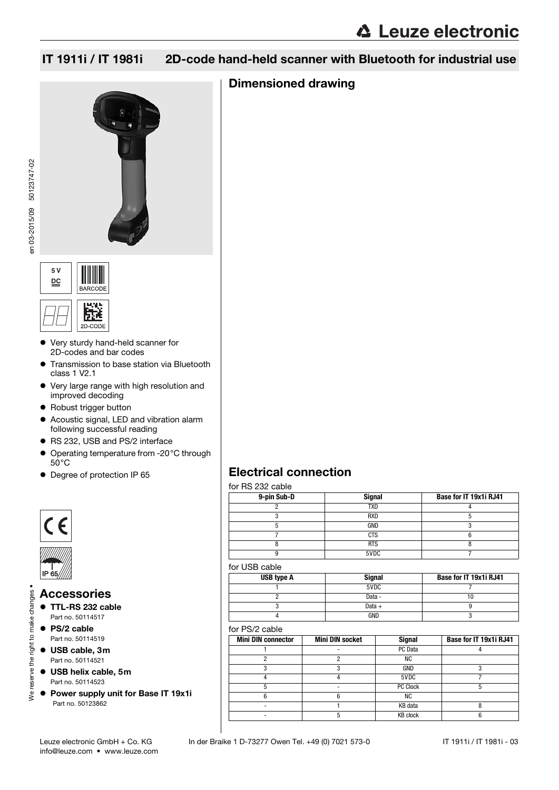## Dimensioned drawing







- Very sturdy hand-held scanner for 2D-codes and bar codes
- Transmission to base station via Bluetooth class 1 V2.1
- Very large range with high resolution and improved decoding
- Robust trigger button
- Acoustic signal, LED and vibration alarm following successful reading
- RS 232, USB and PS/2 interface
- Operating temperature from -20°C through 50°C
- Degree of protection IP 65





Ne reserve the right to make changes .

# We reserve the right to make changes • Accessories

- TTL-RS 232 cable Part no. 50114517
- PS/2 cable Part no. 50114519
- USB cable, 3m Part no. 50114521
- USB helix cable, 5m Part no. 50114523
- Power supply unit for Base IT 19x1i Part no. 50123862

| <b>Electrical connection</b> |  |
|------------------------------|--|
|------------------------------|--|

|  |  |  | for RS 232 cable |  |
|--|--|--|------------------|--|
|--|--|--|------------------|--|

| <b>Signal</b> | Base for IT 19x1i RJ41 |
|---------------|------------------------|
| <b>TXD</b>    |                        |
| <b>RXD</b>    |                        |
| GND           |                        |
| <b>CTS</b>    |                        |
| <b>RTS</b>    |                        |
| 5VDC          |                        |
|               |                        |

#### for USB cable

| USB type A | <b>Signal</b> | Base for IT 19x1i RJ41 |
|------------|---------------|------------------------|
|            | 5VDC          |                        |
|            | Data -        |                        |
|            | Data $+$      |                        |
|            | GND           |                        |

#### for PS/2 cable

| <b>Mini DIN connector</b> | <b>Mini DIN socket</b> | <b>Signal</b>   | Base for IT 19x1i RJ41 |
|---------------------------|------------------------|-----------------|------------------------|
|                           |                        | PC Data         |                        |
|                           |                        | ΝC              |                        |
|                           |                        | GND             |                        |
|                           |                        | 5VDC            |                        |
|                           |                        | PC Clock        |                        |
| 6                         |                        | ΝC              |                        |
|                           |                        | KB data         |                        |
|                           |                        | <b>KB</b> clock |                        |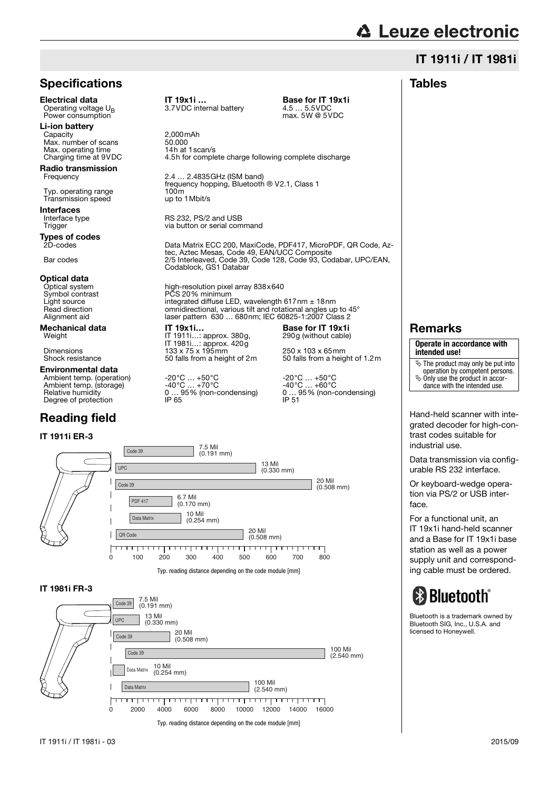## **△ Leuze electronic**

## IT 1911i / IT 1981i

#### Tables

## **Specifications**

Power consumption

**Li-ion battery**<br>Capacity Max. number of scans<br>
Max. operating time<br>
Max. operating time<br>
14h at 1scan/s Max. operating time<br>Charging time at 9VDC

**Radio transmission**<br>Frequency

Typ. operating range 100m 100m Transmission speed up to 1 Mbit/s Transmission speed

Interfaces<br>Interface type

**Types of codes**<br>2D-codes

## **Optical data**<br>Optical system

**Environmental data**<br>Ambient temp. (operation)<br>Ambient temp. (storage) Ambient temp. (operation)  $-20^{\circ}\text{C}$  ... +50 °C  $-20^{\circ}\text{C}$  ... +50 °C  $-40^{\circ}\text{C}$  ... +60 °C  $-40^{\circ}\text{C}$  ... +60 °C  $-40^{\circ}\text{C}$  ... +60 °C  $-40^{\circ}\text{C}$  ... +60 °C  $-40^{\circ}\text{C}$  ... +60 °C  $-40^{\circ}\text{C}$  ... +60

## Reading field

#### IT 1911i ER-3

**Electrical data** IT 19x1i ... **Base for IT 19x1i** Operating voltage  $U_R$  3.7VDC internal battery 4.5 ... 5.5VDC

Operation 3.7VDC internal battery 4.5 … 5.5VDC<br>max. 5W @ 5VDC

 $2,000$ mAh 4.5h for complete charge following complete discharge

2.4 ... 2.4835 GHz (ISM band) frequency hopping, Bluetooth ® V2.1, Class 1<br>100m

Interface type **RS 232, PS/2 and USB**<br>Trigger Trigger Trigger and Trigger and USB via button or serial command

Data Matrix ECC 200, MaxiCode, PDF417, MicroPDF, QR Code, Aztec, Aztec Mesas, Code 49, EAN/UCC Composite Bar codes 2/5 Interleaved, Code 39, Code 128, Code 93, Codabar, UPC/EAN, Codablock, GS1 Databar

Optical system high-resolution pixel array 838x640<br>Symbol contrast FCS 20% minimum Symbol contrast PCS 20% minimum<br>Light source integrated diffuse LE Light source integrated diffuse LED, wavelength 617nm ± 18nm<br>Read direction compidirectional various tilt and rotational angles up Read direction **omnidirectional, various tilt and rotational angles up to 45°**<br>Alignment aid and laser pattern 630 680pm; IFC 60825-1:2007 Class 2 Alignment aid laser pattern 630 … 680nm; IEC 60825-1:2007 Class 2

Mechanical data IT 19x1i... Base for IT 19x1i<br>Weight IT 1911i...: approx. 380g. 290g (without cable) IT 1911i...: approx. 380g, IT 1981i…: approx. 420g Dimensions 133 x 75 x 195mm 250 x 103 x 75 x 195mm<br>Shock resistance 50 falls from a height of 2m 50 falls from a heig

Ambient temp. (operation) -20°C … +50°C -20°C … +50°C Ambient temp. (storage) -40°C … +70°C -40°C … +60°C

 $\frac{256}{12}$  falls from a height of 1.2m

290g (without cable)

Relative humidity 0 … 95% (non-condensing) 0 … 95% (non-condensing)



#### IT 1981i FR-3



## Remarks

#### **Operate in accordance with intended use!**

- $\frac{1}{2}$  The product may only be put into
- operation by competent persons.  $\%$  Only use the product in accor-
- dance with the intended use.

Hand-held scanner with integrated decoder for high-contrast codes suitable for industrial use.

Data transmission via configurable RS 232 interface.

Or keyboard-wedge operation via PS/2 or USB interface.

For a functional unit, an IT 19x1i hand-held scanner and a Base for IT 19x1i base station as well as a power supply unit and corresponding cable must be ordered.

# **& Bluetooth**®

Bluetooth is a trademark owned by Bluetooth SIG, Inc., U.S.A. and licensed to Honeywell.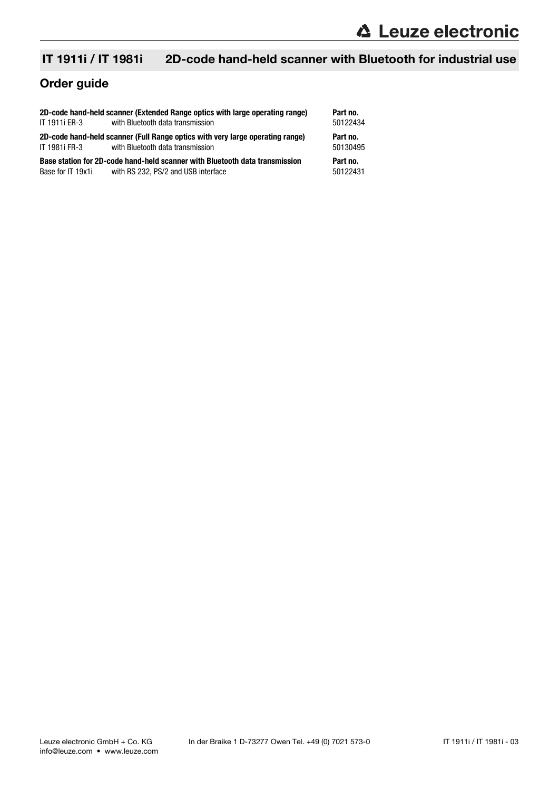## Order guide

|                   | 2D-code hand-held scanner (Extended Range optics with large operating range)                                       | Part no.             |
|-------------------|--------------------------------------------------------------------------------------------------------------------|----------------------|
| IT 1911i ER-3     | with Bluetooth data transmission                                                                                   | 50122434             |
| IT 1981i FR-3     | 2D-code hand-held scanner (Full Range optics with very large operating range)<br>with Bluetooth data transmission  | Part no.<br>50130495 |
| Base for IT 19x1i | Base station for 2D-code hand-held scanner with Bluetooth data transmission<br>with RS 232, PS/2 and USB interface | Part no.<br>50122431 |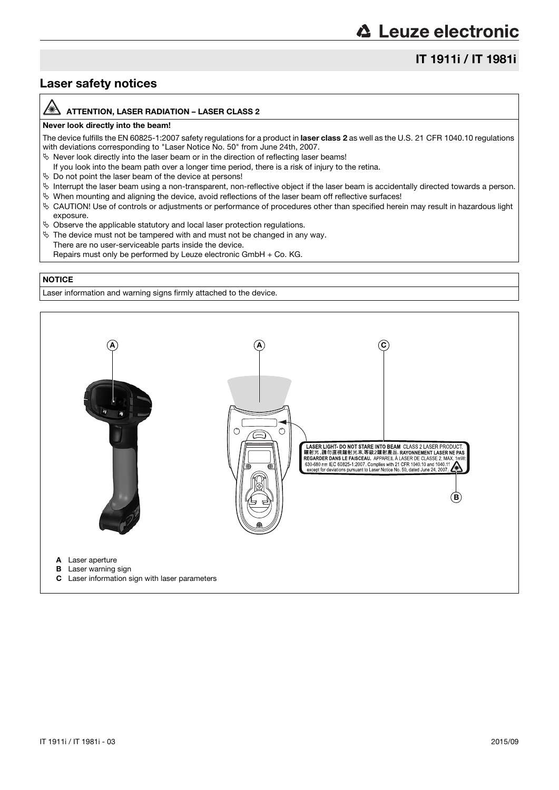## IT 1911i / IT 1981i

## Laser safety notices

#### /A ATTENTION, LASER RADIATION – LASER CLASS 2

#### Never look directly into the beam!

The device fulfills the EN 60825-1:2007 safety regulations for a product in laser class 2 as well as the U.S. 21 CFR 1040.10 regulations with deviations corresponding to "Laser Notice No. 50" from June 24th, 2007.

 $\%$  Never look directly into the laser beam or in the direction of reflecting laser beams!

- If you look into the beam path over a longer time period, there is a risk of injury to the retina.
- $\%$  Do not point the laser beam of the device at persons!
- $\%$  Interrupt the laser beam using a non-transparent, non-reflective object if the laser beam is accidentally directed towards a person.
- When mounting and aligning the device, avoid reflections of the laser beam off reflective surfaces!
- CAUTION! Use of controls or adjustments or performance of procedures other than specified herein may result in hazardous light exposure.
- $\%$  Observe the applicable statutory and local laser protection regulations.
- $\%$  The device must not be tampered with and must not be changed in any way. There are no user-serviceable parts inside the device.
	- Repairs must only be performed by Leuze electronic GmbH + Co. KG.

#### **NOTICE**

Laser information and warning signs firmly attached to the device.

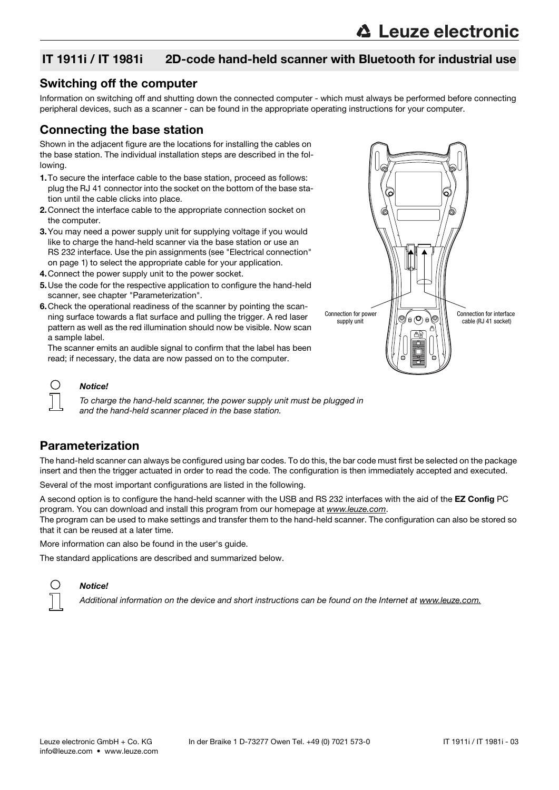#### Switching off the computer

Information on switching off and shutting down the connected computer - which must always be performed before connecting peripheral devices, such as a scanner - can be found in the appropriate operating instructions for your computer.

## Connecting the base station

Shown in the adjacent figure are the locations for installing the cables on the base station. The individual installation steps are described in the following.

- 1.To secure the interface cable to the base station, proceed as follows: plug the RJ 41 connector into the socket on the bottom of the base station until the cable clicks into place.
- 2.Connect the interface cable to the appropriate connection socket on the computer.
- 3.You may need a power supply unit for supplying voltage if you would like to charge the hand-held scanner via the base station or use an RS 232 interface. Use the pin assignments (see "Electrical connection" on page 1) to select the appropriate cable for your application.
- 4.Connect the power supply unit to the power socket.
- 5.Use the code for the respective application to configure the hand-held scanner, see chapter "Parameterization".
- 6.Check the operational readiness of the scanner by pointing the scanning surface towards a flat surface and pulling the trigger. A red laser pattern as well as the red illumination should now be visible. Now scan a sample label.

The scanner emits an audible signal to confirm that the label has been read; if necessary, the data are now passed on to the computer.



#### Notice!

O

To charge the hand-held scanner, the power supply unit must be plugged in and the hand-held scanner placed in the base station.

## Parameterization

The hand-held scanner can always be configured using bar codes. To do this, the bar code must first be selected on the package insert and then the trigger actuated in order to read the code. The configuration is then immediately accepted and executed.

Several of the most important configurations are listed in the following.

A second option is to configure the hand-held scanner with the USB and RS 232 interfaces with the aid of the EZ Config PC program. You can download and install this program from our homepage at www.leuze.com.

The program can be used to make settings and transfer them to the hand-held scanner. The configuration can also be stored so that it can be reused at a later time.

More information can also be found in the user's guide.

The standard applications are described and summarized below.



#### Notice!

Additional information on the device and short instructions can be found on the Internet at www.leuze.com.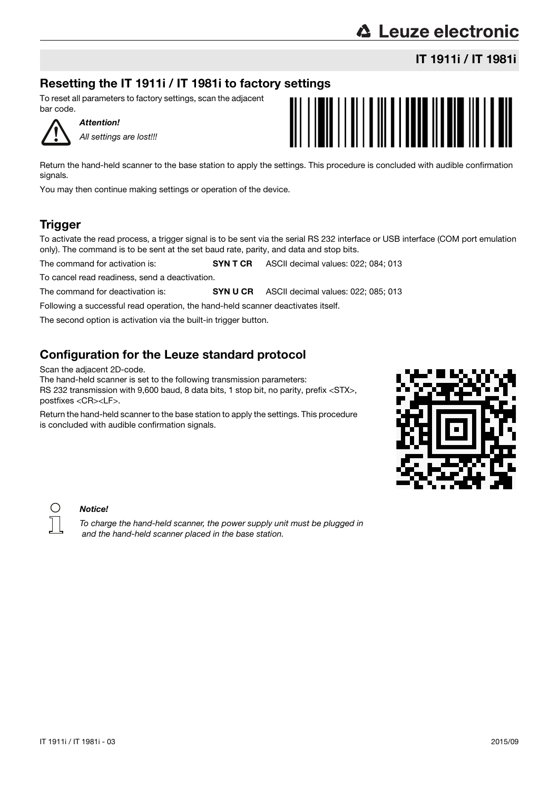## Resetting the IT 1911i / IT 1981i to factory settings

To reset all parameters to factory settings, scan the adjacent bar code.

Attention! All settings are lost!!!

Return the hand-held scanner to the base station to apply the settings. This procedure is concluded with audible confirmation signals.

You may then continue making settings or operation of the device.

## **Trigger**

To activate the read process, a trigger signal is to be sent via the serial RS 232 interface or USB interface (COM port emulation only). The command is to be sent at the set baud rate, parity, and data and stop bits.

The command for activation is: **SYN T CR** ASCII decimal values: 022; 084; 013

To cancel read readiness, send a deactivation.

The command for deactivation is: **SYN U CR** ASCII decimal values: 022; 085; 013

Following a successful read operation, the hand-held scanner deactivates itself.

The second option is activation via the built-in trigger button.

## Configuration for the Leuze standard protocol

Scan the adjacent 2D-code.

The hand-held scanner is set to the following transmission parameters:

RS 232 transmission with 9,600 baud, 8 data bits, 1 stop bit, no parity, prefix <STX>, postfixes <CR><LF>.

Return the hand-held scanner to the base station to apply the settings. This procedure is concluded with audible confirmation signals.





## Notice!

To charge the hand-held scanner, the power supply unit must be plugged in and the hand-held scanner placed in the base station.

# **△ Leuze electronic**

IT 1911i / IT 1981i



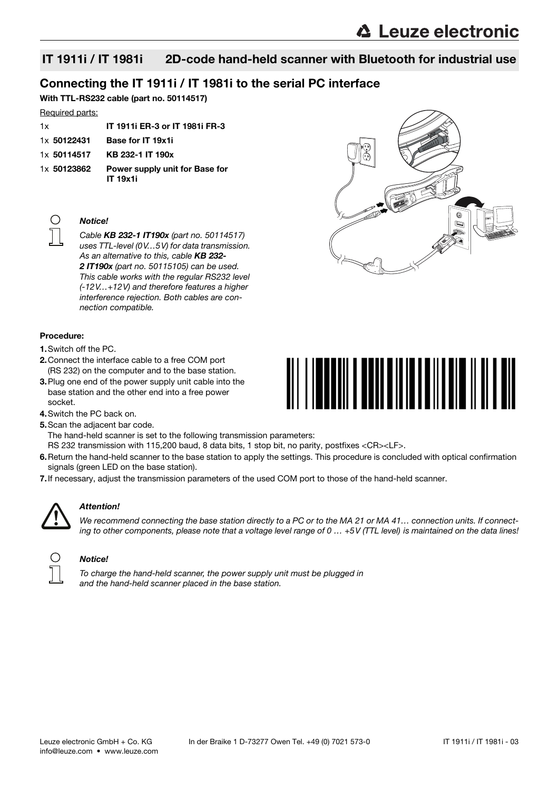## Connecting the IT 1911i / IT 1981i to the serial PC interface

With TTL-RS232 cable (part no. 50114517)

#### Required parts:

| 1x          | <b>IT 1911i ER-3 or IT 1981i FR-3</b>      |
|-------------|--------------------------------------------|
| 1x 50122431 | Base for IT 19x1i                          |
| 1x 50114517 | KB 232-1 IT 190x                           |
| 1x 50123862 | Power supply unit for Base for<br>IT 19x1i |



#### Notice!

Cable KB 232-1 IT190x (part no. 50114517) uses TTL-level (0V…5V) for data transmission. As an alternative to this, cable KB 232-2 IT190x (part no. 50115105) can be used. This cable works with the regular RS232 level (-12V…+12V) and therefore features a higher interference rejection. Both cables are connection compatible.

#### Procedure:

- 1.Switch off the PC.
- 2.Connect the interface cable to a free COM port (RS 232) on the computer and to the base station.
- 3.Plug one end of the power supply unit cable into the base station and the other end into a free power socket.
- 4.Switch the PC back on.

5. Scan the adjacent bar code. The hand-held scanner is set to the following transmission parameters:

- RS 232 transmission with 115,200 baud, 8 data bits, 1 stop bit, no parity, postfixes <CR><LF>.
- 6.Return the hand-held scanner to the base station to apply the settings. This procedure is concluded with optical confirmation signals (green LED on the base station).
- 7.If necessary, adjust the transmission parameters of the used COM port to those of the hand-held scanner.



#### Attention!

We recommend connecting the base station directly to a PC or to the MA 21 or MA 41... connection units. If connecting to other components, please note that a voltage level range of  $0 \dots +5V$  (TTL level) is maintained on the data lines!



#### Notice!



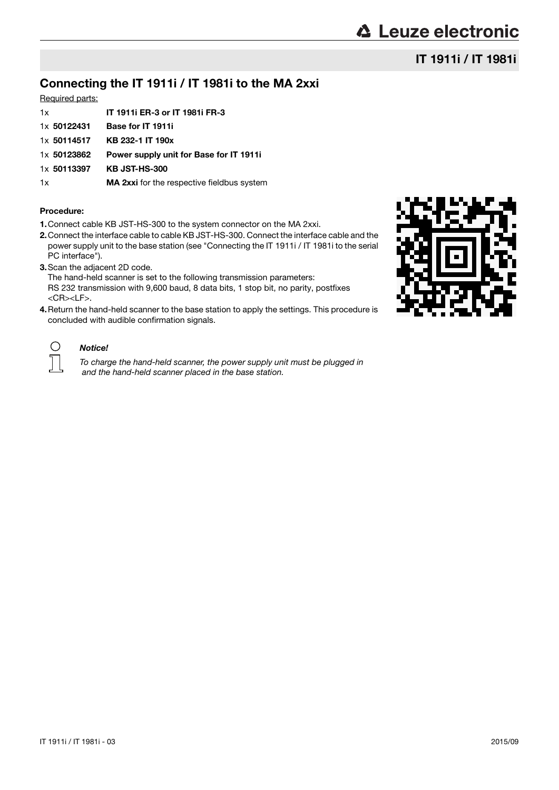## IT 1911i / IT 1981i

## Connecting the IT 1911i / IT 1981i to the MA 2xxi

#### Required parts:

| 1x          | IT 1911i ER-3 or IT 1981i FR-3                    |
|-------------|---------------------------------------------------|
|             |                                                   |
| 1x 50122431 | Base for IT 1911i                                 |
| 1x 50114517 | KB 232-1 IT 190x                                  |
| 1x 50123862 | Power supply unit for Base for IT 1911            |
| 1x 50113397 | <b>KB JST-HS-300</b>                              |
| 1x          | <b>MA 2xxi</b> for the respective fieldbus system |
|             |                                                   |

#### Procedure:

- 1.Connect cable KB JST-HS-300 to the system connector on the MA 2xxi.
- 2.Connect the interface cable to cable KB JST-HS-300. Connect the interface cable and the power supply unit to the base station (see "Connecting the IT 1911i / IT 1981i to the serial PC interface").
- 3.Scan the adjacent 2D code.

The hand-held scanner is set to the following transmission parameters: RS 232 transmission with 9,600 baud, 8 data bits, 1 stop bit, no parity, postfixes <CR><LF>.

4.Return the hand-held scanner to the base station to apply the settings. This procedure is concluded with audible confirmation signals.



#### Notice!

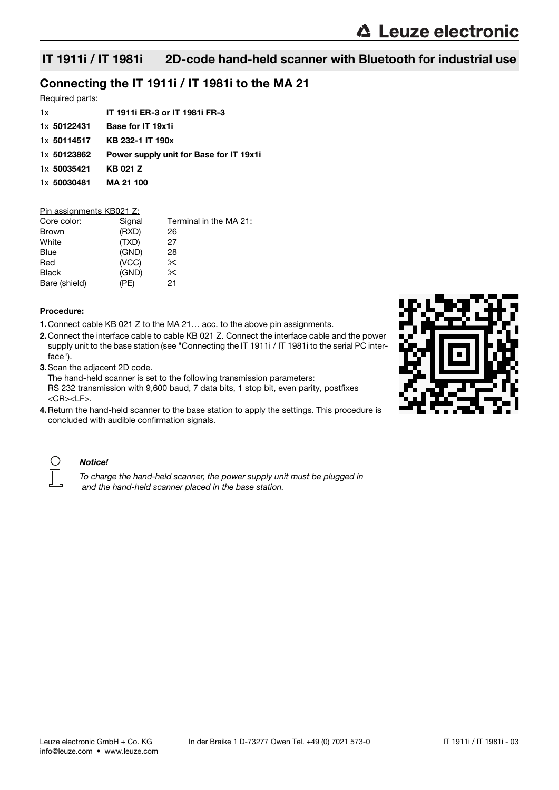## Connecting the IT 1911i / IT 1981i to the MA 21

#### Required parts:

| 1x                    | <b>IT 1911i ER-3 or IT 1981i FR-3</b>   |
|-----------------------|-----------------------------------------|
| 1x 50122431           | <b>Base for IT 19x1i</b>                |
|                       | $1x$ 50114517 KB 232-1 IT 190x          |
| 1x 50123862           | Power supply unit for Base for IT 19x1i |
| 1x 50035421           | KB 021 Z                                |
| 1x 50030481 MA 21 100 |                                         |
|                       |                                         |

#### Pin assignments KB021 Z:

| Core color:   | Signal | Terminal in the MA 21: |
|---------------|--------|------------------------|
| <b>Brown</b>  | (RXD)  | 26                     |
| White         | (TXD)  | 27                     |
| <b>Blue</b>   | (GND)  | 28                     |
| Red           | (VCC)  | $\times$               |
| <b>Black</b>  | (GND)  | $\times$               |
| Bare (shield) | (PE)   | 21                     |

#### Procedure:

- 1.Connect cable KB 021 Z to the MA 21… acc. to the above pin assignments.
- 2.Connect the interface cable to cable KB 021 Z. Connect the interface cable and the power supply unit to the base station (see "Connecting the IT 1911i / IT 1981i to the serial PC interface").
- 3.Scan the adjacent 2D code.

The hand-held scanner is set to the following transmission parameters: RS 232 transmission with 9,600 baud, 7 data bits, 1 stop bit, even parity, postfixes <CR><LF>.

4. Return the hand-held scanner to the base station to apply the settings. This procedure is concluded with audible confirmation signals.





#### Notice!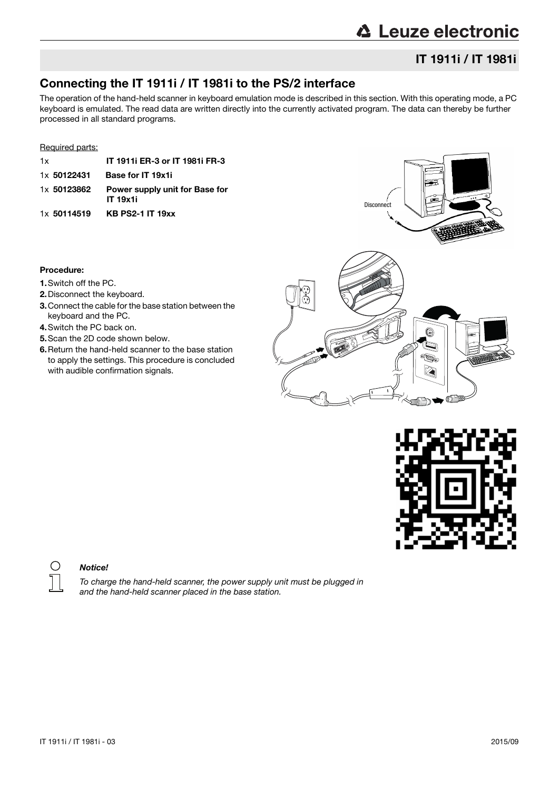## **△ Leuze electronic**

## IT 1911i / IT 1981i

## Connecting the IT 1911i / IT 1981i to the PS/2 interface

The operation of the hand-held scanner in keyboard emulation mode is described in this section. With this operating mode, a PC keyboard is emulated. The read data are written directly into the currently activated program. The data can thereby be further processed in all standard programs.

#### Required parts:

| 1x          | <b>IT 1911i ER-3 or IT 1981i FR-3</b>             |
|-------------|---------------------------------------------------|
| 1x 50122431 | Base for IT 19x1i                                 |
| 1x 50123862 | Power supply unit for Base for<br><b>IT 19x1i</b> |
| 1x 50114519 | <b>KB PS2-1 IT 19xx</b>                           |

#### Procedure:

- 1.Switch off the PC.
- 2.Disconnect the keyboard.
- 3.Connect the cable for the base station between the keyboard and the PC.
- 4.Switch the PC back on.
- 5.Scan the 2D code shown below.
- 6.Return the hand-held scanner to the base station to apply the settings. This procedure is concluded with audible confirmation signals.







#### Notice!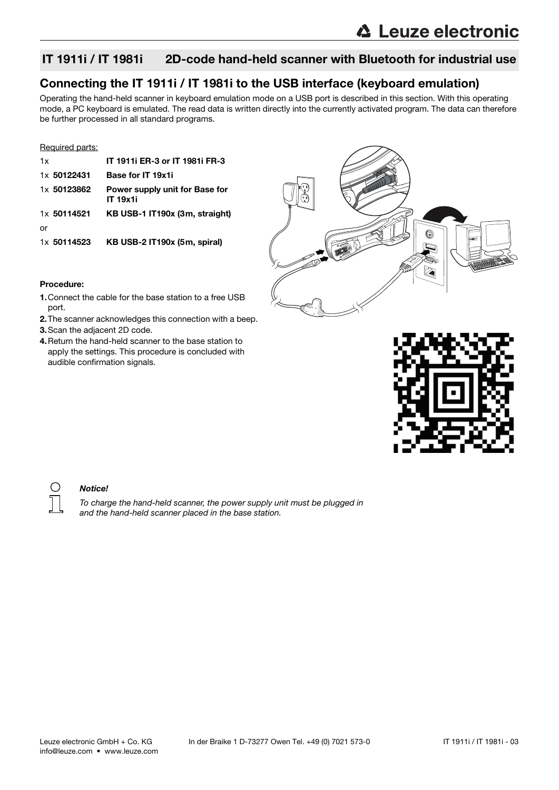## Connecting the IT 1911i / IT 1981i to the USB interface (keyboard emulation)

Operating the hand-held scanner in keyboard emulation mode on a USB port is described in this section. With this operating mode, a PC keyboard is emulated. The read data is written directly into the currently activated program. The data can therefore be further processed in all standard programs.

#### Required parts:

| 1x          | IT 1911i ER-3 or IT 1981i FR-3                    |
|-------------|---------------------------------------------------|
| 1x 50122431 | Base for IT 19x1i                                 |
| 1x 50123862 | Power supply unit for Base for<br><b>IT 19x1i</b> |
| 1x 50114521 | KB USB-1 IT190x (3m, straight)                    |
| or          |                                                   |
| 1x 50114523 | KB USB-2 IT190x (5m, spiral)                      |



#### Procedure:

- 1.Connect the cable for the base station to a free USB port.
- 2.The scanner acknowledges this connection with a beep.
- 3.Scan the adjacent 2D code.
- 4.Return the hand-held scanner to the base station to apply the settings. This procedure is concluded with audible confirmation signals.



#### Notice!